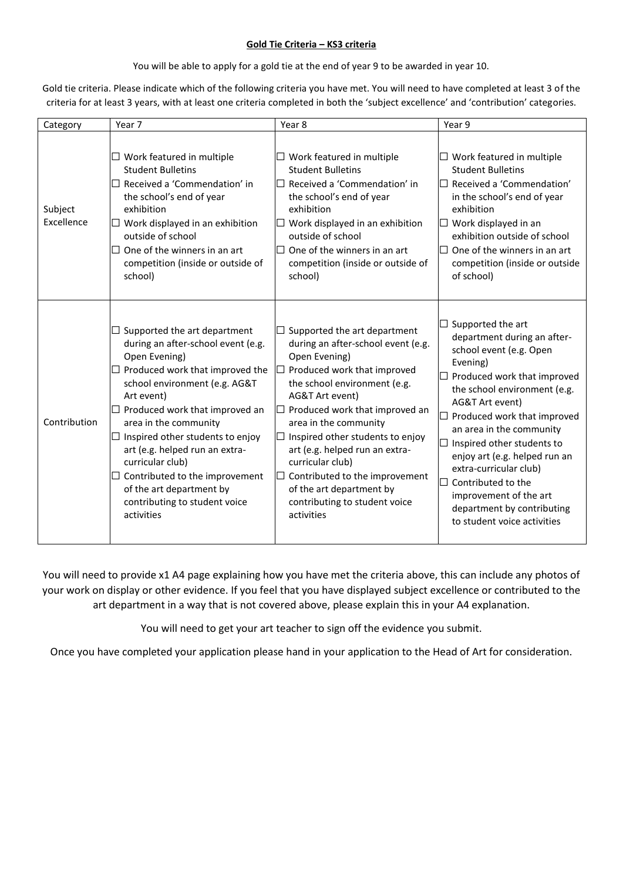## **Gold Tie Criteria – KS3 criteria**

You will be able to apply for a gold tie at the end of year 9 to be awarded in year 10.

Gold tie criteria. Please indicate which of the following criteria you have met. You will need to have completed at least 3 of the criteria for at least 3 years, with at least one criteria completed in both the 'subject excellence' and 'contribution' categories.

| Category              | Year 7                                                                                                                                                                                                                                                                                                                                                                                                                                         | Year 8                                                                                                                                                                                                                                                                                                                                                                                                                                                    | Year 9                                                                                                                                                                                                                                                                                                                                                                                                                                                   |
|-----------------------|------------------------------------------------------------------------------------------------------------------------------------------------------------------------------------------------------------------------------------------------------------------------------------------------------------------------------------------------------------------------------------------------------------------------------------------------|-----------------------------------------------------------------------------------------------------------------------------------------------------------------------------------------------------------------------------------------------------------------------------------------------------------------------------------------------------------------------------------------------------------------------------------------------------------|----------------------------------------------------------------------------------------------------------------------------------------------------------------------------------------------------------------------------------------------------------------------------------------------------------------------------------------------------------------------------------------------------------------------------------------------------------|
| Subject<br>Excellence | Work featured in multiple<br><b>Student Bulletins</b><br>Received a 'Commendation' in<br>the school's end of year<br>exhibition<br>$\Box$ Work displayed in an exhibition<br>outside of school<br>One of the winners in an art<br>$\Box$<br>competition (inside or outside of<br>school)                                                                                                                                                       | $\Box$ Work featured in multiple<br><b>Student Bulletins</b><br>$\Box$ Received a 'Commendation' in<br>the school's end of year<br>exhibition<br>$\Box$ Work displayed in an exhibition<br>outside of school<br>$\Box$ One of the winners in an art<br>competition (inside or outside of<br>school)                                                                                                                                                       | $\Box$ Work featured in multiple<br><b>Student Bulletins</b><br>$\Box$ Received a 'Commendation'<br>in the school's end of year<br>exhibition<br>$\Box$ Work displayed in an<br>exhibition outside of school<br>$\Box$ One of the winners in an art<br>competition (inside or outside<br>of school)                                                                                                                                                      |
| Contribution          | Supported the art department<br>during an after-school event (e.g.<br>Open Evening)<br>Produced work that improved the<br>school environment (e.g. AG&T<br>Art event)<br>$\Box$ Produced work that improved an<br>area in the community<br>Inspired other students to enjoy<br>art (e.g. helped run an extra-<br>curricular club)<br>Contributed to the improvement<br>of the art department by<br>contributing to student voice<br>activities | Supported the art department<br>during an after-school event (e.g.<br>Open Evening)<br>Produced work that improved<br>the school environment (e.g.<br>AG&T Art event)<br>Produced work that improved an<br>$\blacksquare$<br>area in the community<br>Inspired other students to enjoy<br>art (e.g. helped run an extra-<br>curricular club)<br>Contributed to the improvement<br>of the art department by<br>contributing to student voice<br>activities | $\Box$ Supported the art<br>department during an after-<br>school event (e.g. Open<br>Evening)<br>Produced work that improved<br>the school environment (e.g.<br>AG&T Art event)<br>$\Box$ Produced work that improved<br>an area in the community<br>Inspired other students to<br>enjoy art (e.g. helped run an<br>extra-curricular club)<br>Contributed to the<br>improvement of the art<br>department by contributing<br>to student voice activities |

You will need to provide x1 A4 page explaining how you have met the criteria above, this can include any photos of your work on display or other evidence. If you feel that you have displayed subject excellence or contributed to the art department in a way that is not covered above, please explain this in your A4 explanation.

You will need to get your art teacher to sign off the evidence you submit.

Once you have completed your application please hand in your application to the Head of Art for consideration.